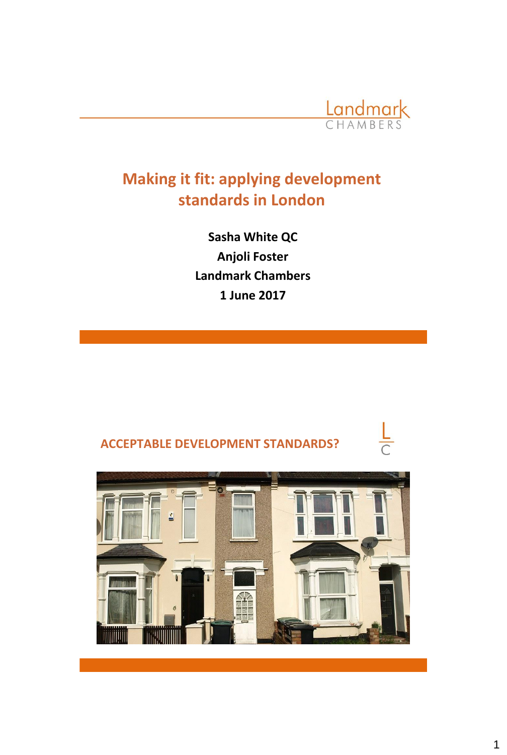

 $\frac{L}{C}$ 

# **Making it fit: applying development standards in London**

**Sasha White QC Anjoli Foster Landmark Chambers 1 June 2017**



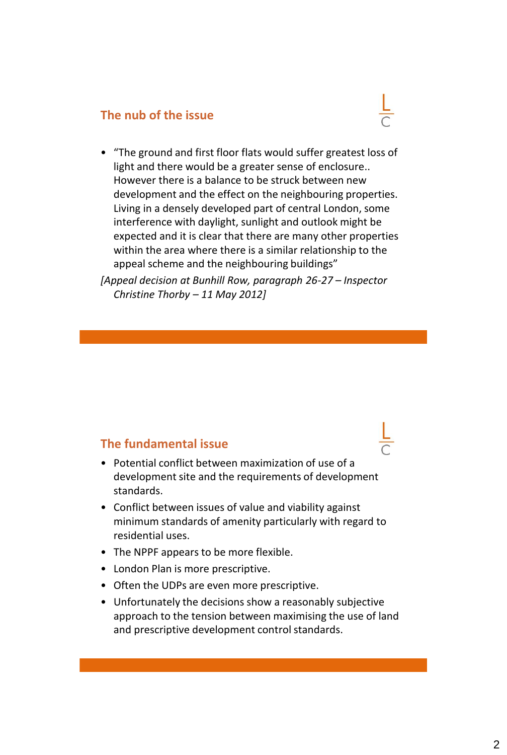#### **The nub of the issue**



*[Appeal decision at Bunhill Row, paragraph 26-27 – Inspector Christine Thorby – 11 May 2012]*

#### **The fundamental issue**

- Potential conflict between maximization of use of a development site and the requirements of development standards.
- Conflict between issues of value and viability against minimum standards of amenity particularly with regard to residential uses.
- The NPPF appears to be more flexible.
- London Plan is more prescriptive.
- Often the UDPs are even more prescriptive.
- Unfortunately the decisions show a reasonably subjective approach to the tension between maximising the use of land and prescriptive development control standards.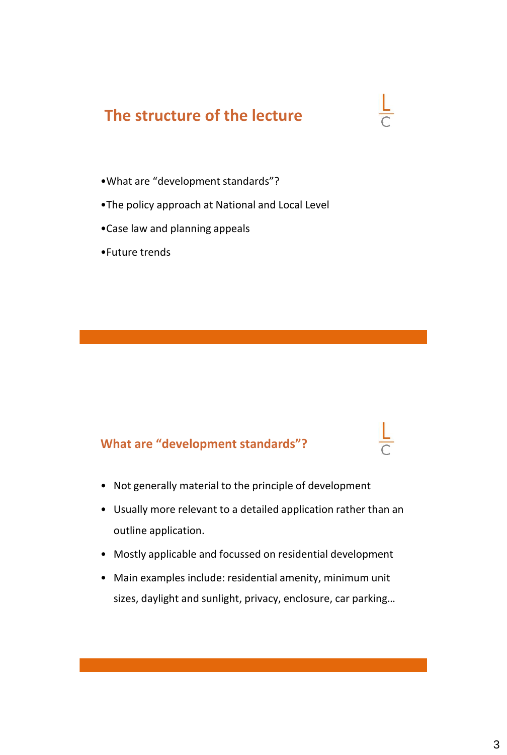# **The structure of the lecture**

- •What are "development standards"?
- •The policy approach at National and Local Level
- •Case law and planning appeals
- •Future trends

# **What are "development standards"?**

- Not generally material to the principle of development
- Usually more relevant to a detailed application rather than an outline application.
- Mostly applicable and focussed on residential development
- Main examples include: residential amenity, minimum unit sizes, daylight and sunlight, privacy, enclosure, car parking…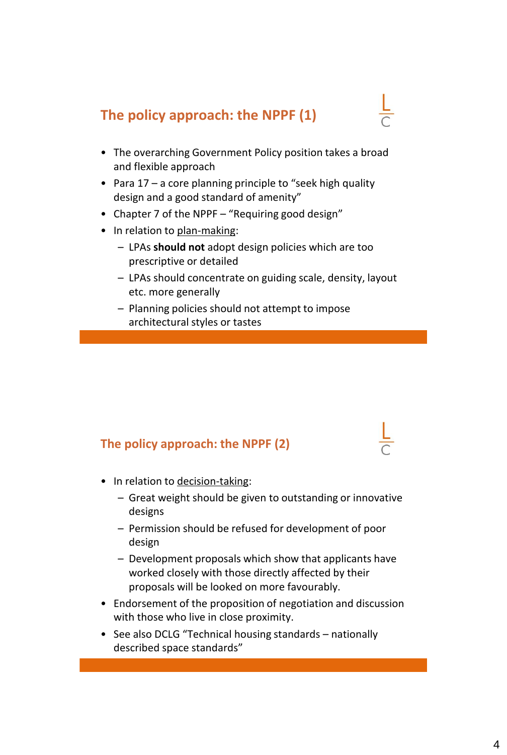# **The policy approach: the NPPF (1)**

- The overarching Government Policy position takes a broad and flexible approach
- Para 17 a core planning principle to "seek high quality design and a good standard of amenity"
- Chapter 7 of the NPPF "Requiring good design"
- In relation to plan-making:
	- LPAs **should not** adopt design policies which are too prescriptive or detailed
	- LPAs should concentrate on guiding scale, density, layout etc. more generally
	- Planning policies should not attempt to impose architectural styles or tastes

# **The policy approach: the NPPF (2)**

- In relation to decision-taking:
	- Great weight should be given to outstanding or innovative designs
	- Permission should be refused for development of poor design
	- Development proposals which show that applicants have worked closely with those directly affected by their proposals will be looked on more favourably.
- Endorsement of the proposition of negotiation and discussion with those who live in close proximity.
- See also DCLG "Technical housing standards nationally described space standards"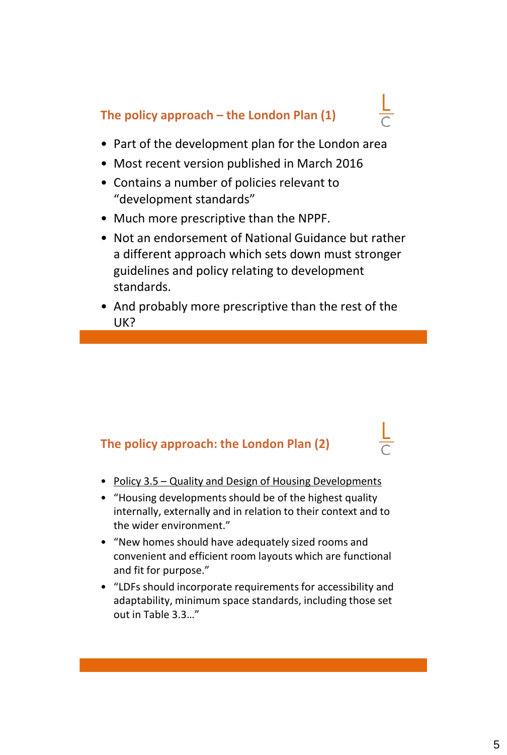# **The policy approach – the London Plan (1)**

- Part of the development plan for the London area
- Most recent version published in March 2016
- Contains a number of policies relevant to "development standards"
- Much more prescriptive than the NPPF.
- Not an endorsement of National Guidance but rather a different approach which sets down must stronger guidelines and policy relating to development standards.
- And probably more prescriptive than the rest of the UK?

# **The policy approach: the London Plan (2)**

- Policy 3.5 Quality and Design of Housing Developments
- "Housing developments should be of the highest quality internally, externally and in relation to their context and to the wider environment."
- "New homes should have adequately sized rooms and convenient and efficient room layouts which are functional and fit for purpose."
- "LDFs should incorporate requirements for accessibility and adaptability, minimum space standards, including those set out in Table 3.3…"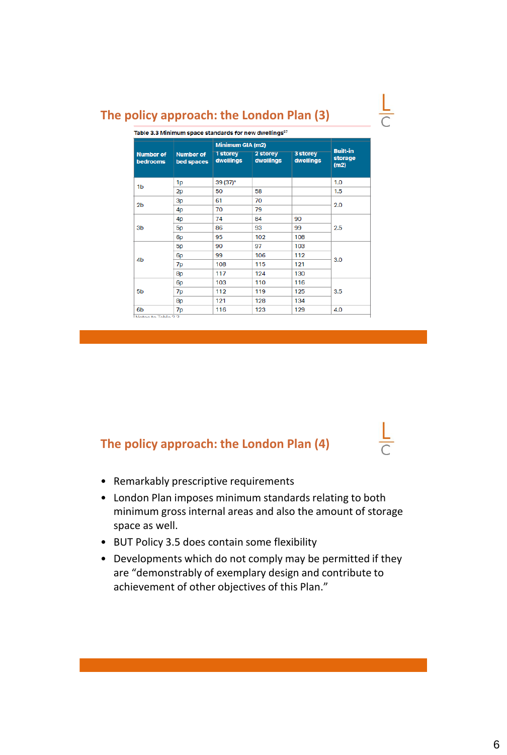### **The policy approach: the London Plan (3)**

| <b>Number of</b><br>bedrooms | <b>Number of</b><br>bed spaces | Minimum GIA (m2)      |                       |                       |                                    |
|------------------------------|--------------------------------|-----------------------|-----------------------|-----------------------|------------------------------------|
|                              |                                | 1 storey<br>dwellings | 2 storey<br>dwellings | 3 storey<br>dwellings | <b>Built-in</b><br>storage<br>(m2) |
| 1b                           | 1p                             | 39 (37)*              |                       |                       | 1.0                                |
|                              | 2p                             | 50                    | 58                    |                       | 1.5                                |
| 2 <sub>b</sub>               | 3p                             | 61                    | 70                    |                       | 2.0                                |
|                              | 4 <sub>p</sub>                 | 70                    | 79                    |                       |                                    |
| 3 <sub>b</sub>               | 4 <sub>D</sub>                 | 74                    | 84                    | 90                    | 2.5                                |
|                              | 5 <sub>p</sub>                 | 86                    | 93                    | 99                    |                                    |
|                              | 6 <sub>p</sub>                 | 95                    | 102                   | 108                   |                                    |
| 4 <sub>b</sub>               | 5 <sub>p</sub>                 | 90                    | 97                    | 103                   | 3.0                                |
|                              | 6 <sub>p</sub>                 | 99                    | 106                   | 112                   |                                    |
|                              | 7p                             | 108                   | 115                   | 121                   |                                    |
|                              | 8p                             | 117                   | 124                   | 130                   |                                    |
| 5 <sub>b</sub>               | 6 <sub>p</sub>                 | 103                   | 110                   | 116                   | 3.5                                |
|                              | 7p                             | 112                   | 119                   | 125                   |                                    |
|                              | 8p                             | 121                   | 128                   | 134                   |                                    |
| 6 <sub>b</sub>               | 7p                             | 116                   | 123                   | 129                   | 4.0                                |

#### **The policy approach: the London Plan (4)**

- Remarkably prescriptive requirements
- London Plan imposes minimum standards relating to both minimum gross internal areas and also the amount of storage space as well.
- BUT Policy 3.5 does contain some flexibility
- Developments which do not comply may be permitted if they are "demonstrably of exemplary design and contribute to achievement of other objectives of this Plan."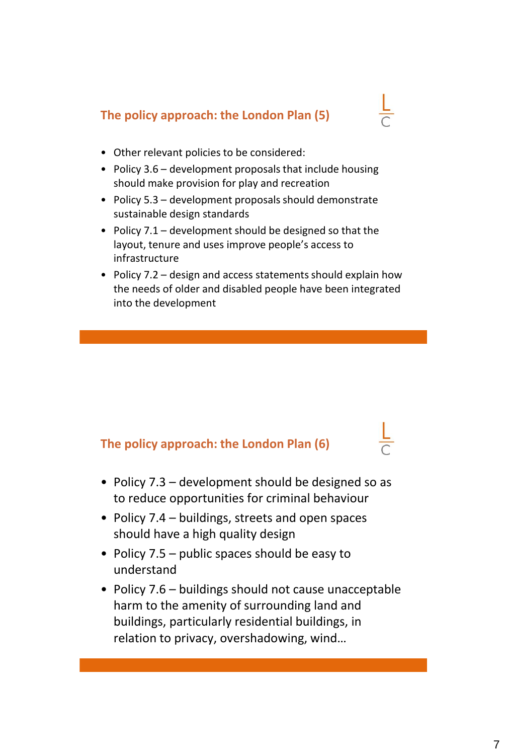# **The policy approach: the London Plan (5)**

- 
- Other relevant policies to be considered:
- Policy 3.6 development proposals that include housing should make provision for play and recreation
- Policy 5.3 development proposals should demonstrate sustainable design standards
- Policy 7.1 development should be designed so that the layout, tenure and uses improve people's access to infrastructure
- Policy 7.2 design and access statements should explain how the needs of older and disabled people have been integrated into the development

# **The policy approach: the London Plan (6)**

- Policy 7.3 development should be designed so as to reduce opportunities for criminal behaviour
- Policy 7.4 buildings, streets and open spaces should have a high quality design
- Policy 7.5 public spaces should be easy to understand
- Policy 7.6 buildings should not cause unacceptable harm to the amenity of surrounding land and buildings, particularly residential buildings, in relation to privacy, overshadowing, wind…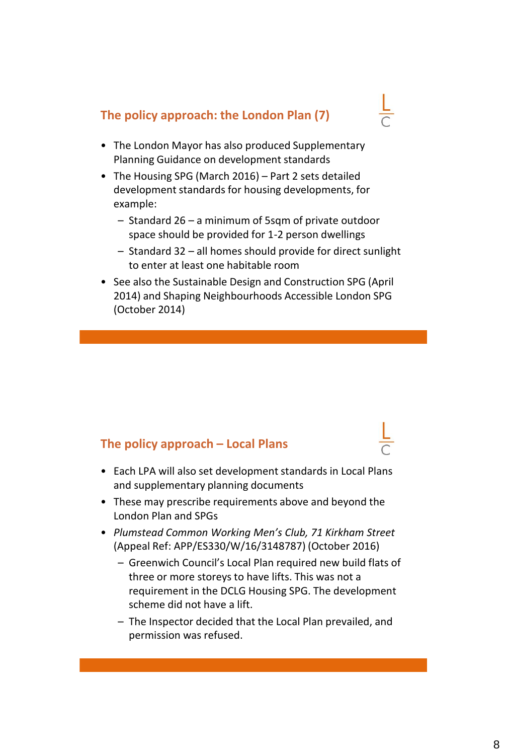# **The policy approach: the London Plan (7)**

- 
- The London Mayor has also produced Supplementary Planning Guidance on development standards
- The Housing SPG (March 2016) Part 2 sets detailed development standards for housing developments, for example:
	- Standard 26 a minimum of 5sqm of private outdoor space should be provided for 1-2 person dwellings
	- Standard 32 all homes should provide for direct sunlight to enter at least one habitable room
- See also the Sustainable Design and Construction SPG (April 2014) and Shaping Neighbourhoods Accessible London SPG (October 2014)

#### **The policy approach – Local Plans**

- Each LPA will also set development standards in Local Plans and supplementary planning documents
- These may prescribe requirements above and beyond the London Plan and SPGs
- *Plumstead Common Working Men's Club, 71 Kirkham Street* (Appeal Ref: APP/ES330/W/16/3148787) (October 2016)
	- Greenwich Council's Local Plan required new build flats of three or more storeys to have lifts. This was not a requirement in the DCLG Housing SPG. The development scheme did not have a lift.
	- The Inspector decided that the Local Plan prevailed, and permission was refused.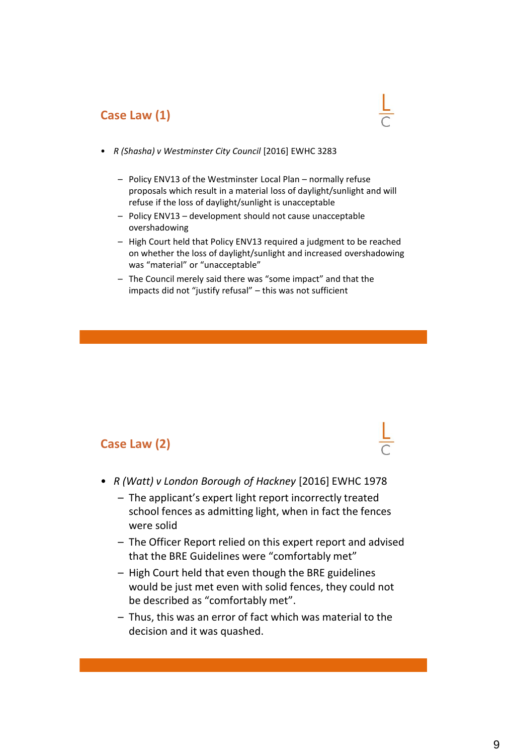### **Case Law (1)**



- *R (Shasha) v Westminster City Council* [2016] EWHC 3283
	- Policy ENV13 of the Westminster Local Plan normally refuse proposals which result in a material loss of daylight/sunlight and will refuse if the loss of daylight/sunlight is unacceptable
	- Policy ENV13 development should not cause unacceptable overshadowing
	- High Court held that Policy ENV13 required a judgment to be reached on whether the loss of daylight/sunlight and increased overshadowing was "material" or "unacceptable"
	- The Council merely said there was "some impact" and that the impacts did not "justify refusal" – this was not sufficient

#### **Case Law (2)**



- *R (Watt) v London Borough of Hackney* [2016] EWHC 1978
	- The applicant's expert light report incorrectly treated school fences as admitting light, when in fact the fences were solid
	- The Officer Report relied on this expert report and advised that the BRE Guidelines were "comfortably met"
	- High Court held that even though the BRE guidelines would be just met even with solid fences, they could not be described as "comfortably met".
	- Thus, this was an error of fact which was material to the decision and it was quashed.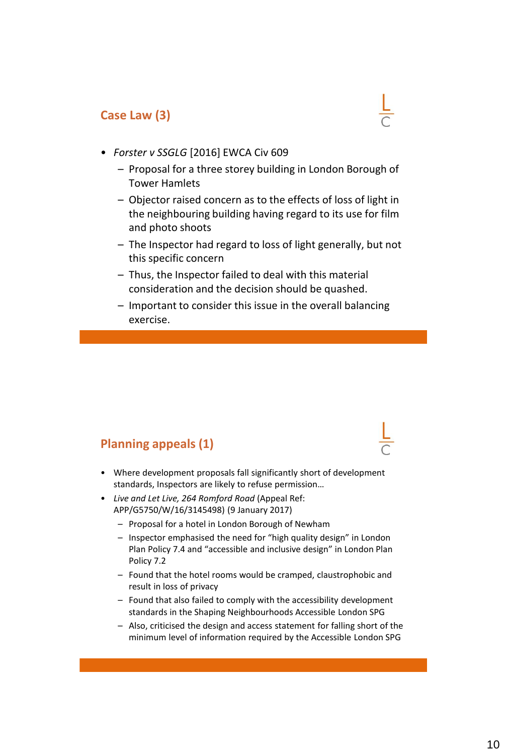#### **Case Law (3)**



- *Forster v SSGLG* [2016] EWCA Civ 609
	- Proposal for a three storey building in London Borough of Tower Hamlets
	- Objector raised concern as to the effects of loss of light in the neighbouring building having regard to its use for film and photo shoots
	- The Inspector had regard to loss of light generally, but not this specific concern
	- Thus, the Inspector failed to deal with this material consideration and the decision should be quashed.
	- Important to consider this issue in the overall balancing exercise.

# **Planning appeals (1)**

- Where development proposals fall significantly short of development standards, Inspectors are likely to refuse permission…
- *Live and Let Live, 264 Romford Road* (Appeal Ref: APP/G5750/W/16/3145498) (9 January 2017)
	- Proposal for a hotel in London Borough of Newham
	- Inspector emphasised the need for "high quality design" in London Plan Policy 7.4 and "accessible and inclusive design" in London Plan Policy 7.2
	- Found that the hotel rooms would be cramped, claustrophobic and result in loss of privacy
	- Found that also failed to comply with the accessibility development standards in the Shaping Neighbourhoods Accessible London SPG
	- Also, criticised the design and access statement for falling short of the minimum level of information required by the Accessible London SPG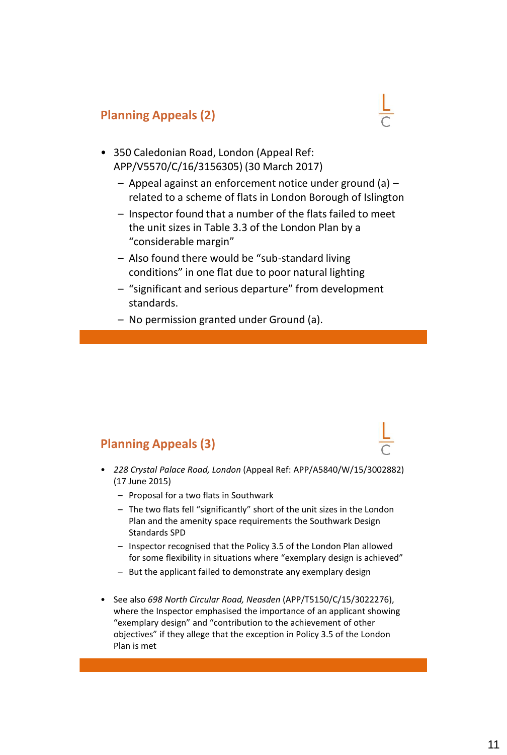# **Planning Appeals (2)**



- 350 Caledonian Road, London (Appeal Ref: APP/V5570/C/16/3156305) (30 March 2017)
	- Appeal against an enforcement notice under ground (a) related to a scheme of flats in London Borough of Islington
	- Inspector found that a number of the flats failed to meet the unit sizes in Table 3.3 of the London Plan by a "considerable margin"
	- Also found there would be "sub-standard living conditions" in one flat due to poor natural lighting
	- "significant and serious departure" from development standards.
	- No permission granted under Ground (a).

# **Planning Appeals (3)**

- *228 Crystal Palace Road, London* (Appeal Ref: APP/A5840/W/15/3002882) (17 June 2015)
	- Proposal for a two flats in Southwark
	- The two flats fell "significantly" short of the unit sizes in the London Plan and the amenity space requirements the Southwark Design Standards SPD
	- Inspector recognised that the Policy 3.5 of the London Plan allowed for some flexibility in situations where "exemplary design is achieved"
	- But the applicant failed to demonstrate any exemplary design
- See also *698 North Circular Road, Neasden* (APP/T5150/C/15/3022276), where the Inspector emphasised the importance of an applicant showing "exemplary design" and "contribution to the achievement of other objectives" if they allege that the exception in Policy 3.5 of the London Plan is met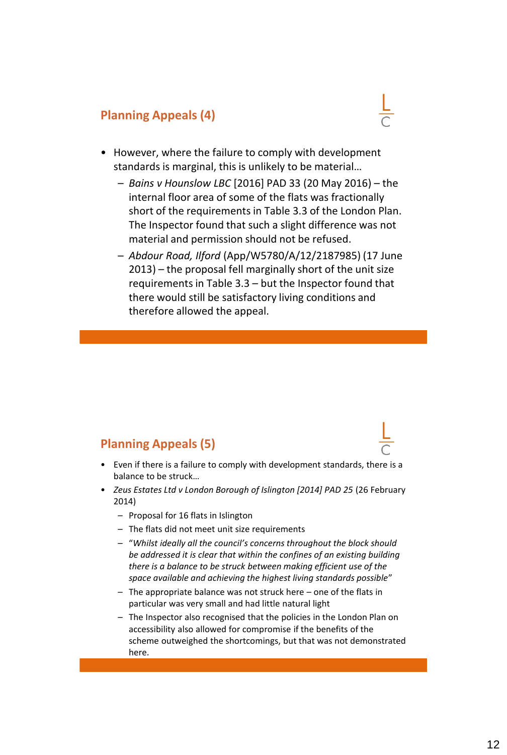### **Planning Appeals (4)**



- However, where the failure to comply with development standards is marginal, this is unlikely to be material…
	- *Bains v Hounslow LBC* [2016] PAD 33 (20 May 2016) the internal floor area of some of the flats was fractionally short of the requirements in Table 3.3 of the London Plan. The Inspector found that such a slight difference was not material and permission should not be refused.
	- *Abdour Road, Ilford* (App/W5780/A/12/2187985) (17 June 2013) – the proposal fell marginally short of the unit size requirements in Table 3.3 – but the Inspector found that there would still be satisfactory living conditions and therefore allowed the appeal.

#### **Planning Appeals (5)**

- Even if there is a failure to comply with development standards, there is a balance to be struck…
- *Zeus Estates Ltd v London Borough of Islington [2014] PAD 25* (26 February 2014)
	- Proposal for 16 flats in Islington
	- The flats did not meet unit size requirements
	- "*Whilst ideally all the council's concerns throughout the block should be addressed it is clear that within the confines of an existing building there is a balance to be struck between making efficient use of the space available and achieving the highest living standards possible*"
	- The appropriate balance was not struck here one of the flats in particular was very small and had little natural light
	- The Inspector also recognised that the policies in the London Plan on accessibility also allowed for compromise if the benefits of the scheme outweighed the shortcomings, but that was not demonstrated here.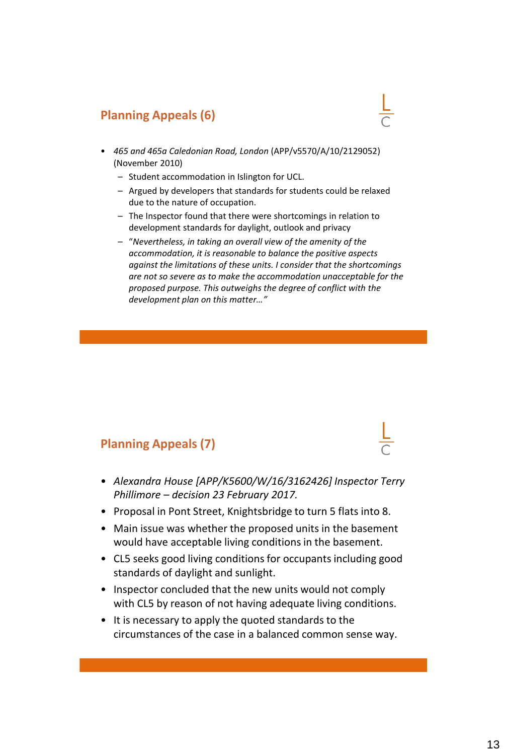# **Planning Appeals (6)**

- *465 and 465a Caledonian Road, London* (APP/v5570/A/10/2129052) (November 2010)
	- Student accommodation in Islington for UCL.
	- Argued by developers that standards for students could be relaxed due to the nature of occupation.
	- The Inspector found that there were shortcomings in relation to development standards for daylight, outlook and privacy
	- "*Nevertheless, in taking an overall view of the amenity of the accommodation, it is reasonable to balance the positive aspects against the limitations of these units. I consider that the shortcomings are not so severe as to make the accommodation unacceptable for the proposed purpose. This outweighs the degree of conflict with the development plan on this matter…"*

#### **Planning Appeals (7)**

- *Alexandra House [APP/K5600/W/16/3162426] Inspector Terry Phillimore – decision 23 February 2017.*
- Proposal in Pont Street, Knightsbridge to turn 5 flats into 8.
- Main issue was whether the proposed units in the basement would have acceptable living conditions in the basement.
- CL5 seeks good living conditions for occupants including good standards of daylight and sunlight.
- Inspector concluded that the new units would not comply with CL5 by reason of not having adequate living conditions.
- It is necessary to apply the quoted standards to the circumstances of the case in a balanced common sense way.